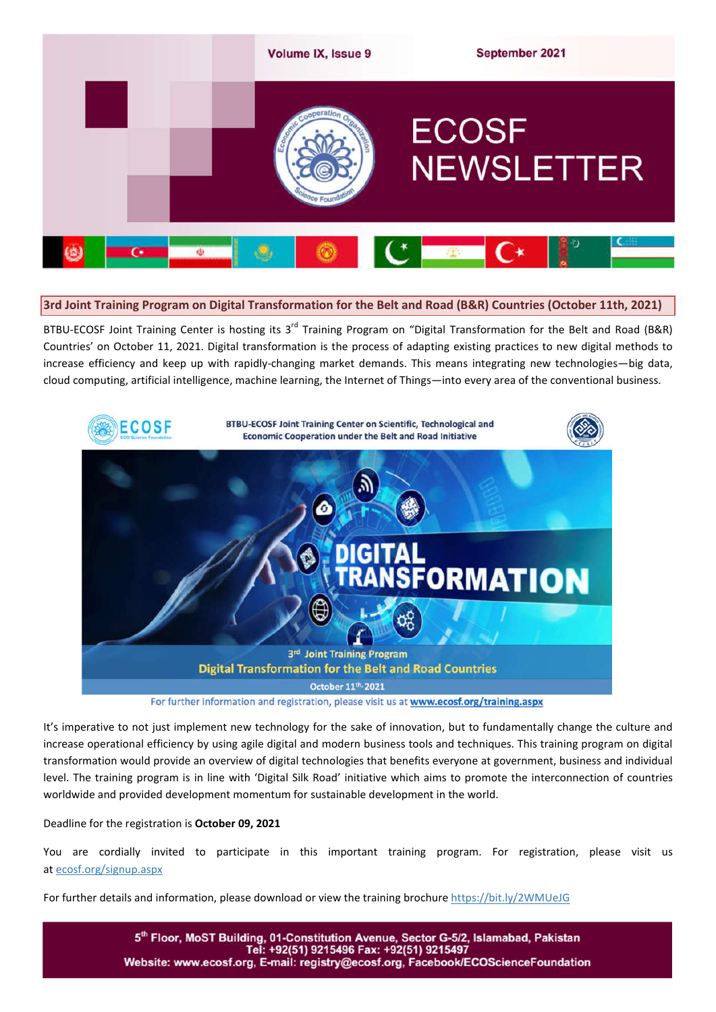

### **3rd Joint Training Program on Digital Transformation for the Belt and Road (B&R) Countries (October 11th, 2021)**

BTBU-ECOSF Joint Training Center is hosting its 3<sup>rd</sup> Training Program on "Digital Transformation for the Belt and Road (B&R) Countries' on October 11, 2021. Digital transformation is the process of adapting existing practices to new digital methods to increase efficiency and keep up with rapidly-changing market demands. This means integrating new technologies—big data, cloud computing, artificial intelligence, machine learning, the Internet of Things—into every area of the conventional business.



For further information and registration, please visit us at www.ecosf.org/training.aspx

It's imperative to not just implement new technology for the sake of innovation, but to fundamentally change the culture and increase operational efficiency by using agile digital and modern business tools and techniques. This training program on digital transformation would provide an overview of digital technologies that benefits everyone at government, business and individual level. The training program is in line with 'Digital Silk Road' initiative which aims to promote the interconnection of countries worldwide and provided development momentum for sustainable development in the world.

Deadline for the registration is **October 09, 2021**

You are cordially invited to participate in this important training program. For registration, please visit us at ecosf.org/signup.aspx

For further details and information, please download or view the training brochure https://bit.ly/2WMUeJG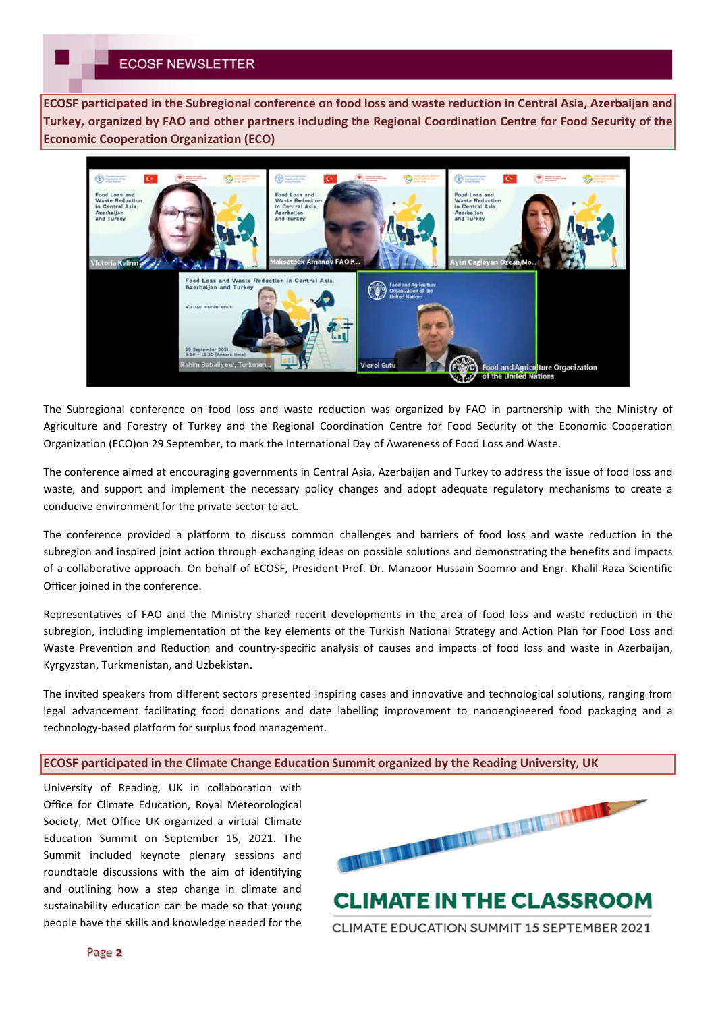**ECOSF participated in the Subregional conference on food loss and waste reduction in Central Asia, Azerbaijan and Turkey, organized by FAO and other partners including the Regional Coordination Centre for Food Security of the Economic Cooperation Organization (ECO)**



The Subregional conference on food loss and waste reduction was organized by FAO in partnership with the Ministry of Agriculture and Forestry of Turkey and the Regional Coordination Centre for Food Security of the Economic Cooperation Organization (ECO)on 29 September, to mark the International Day of Awareness of Food Loss and Waste.

The conference aimed at encouraging governments in Central Asia, Azerbaijan and Turkey to address the issue of food loss and waste, and support and implement the necessary policy changes and adopt adequate regulatory mechanisms to create a conducive environment for the private sector to act.

The conference provided a platform to discuss common challenges and barriers of food loss and waste reduction in the subregion and inspired joint action through exchanging ideas on possible solutions and demonstrating the benefits and impacts of a collaborative approach. On behalf of ECOSF, President Prof. Dr. Manzoor Hussain Soomro and Engr. Khalil Raza Scientific Officer joined in the conference.

Representatives of FAO and the Ministry shared recent developments in the area of food loss and waste reduction in the subregion, including implementation of the key elements of the Turkish National Strategy and Action Plan for Food Loss and Waste Prevention and Reduction and country-specific analysis of causes and impacts of food loss and waste in Azerbaijan, Kyrgyzstan, Turkmenistan, and Uzbekistan.

The invited speakers from different sectors presented inspiring cases and innovative and technological solutions, ranging from legal advancement facilitating food donations and date labelling improvement to nanoengineered food packaging and a technology-based platform for surplus food management.

### **ECOSF participated in the Climate Change Education Summit organized by the Reading University, UK**

University of Reading, UK in collaboration with Office for Climate Education, Royal Meteorological Society, Met Office UK organized a virtual Climate Education Summit on September 15, 2021. The Summit included keynote plenary sessions and roundtable discussions with the aim of identifying and outlining how a step change in climate and sustainability education can be made so that young people have the skills and knowledge needed for the

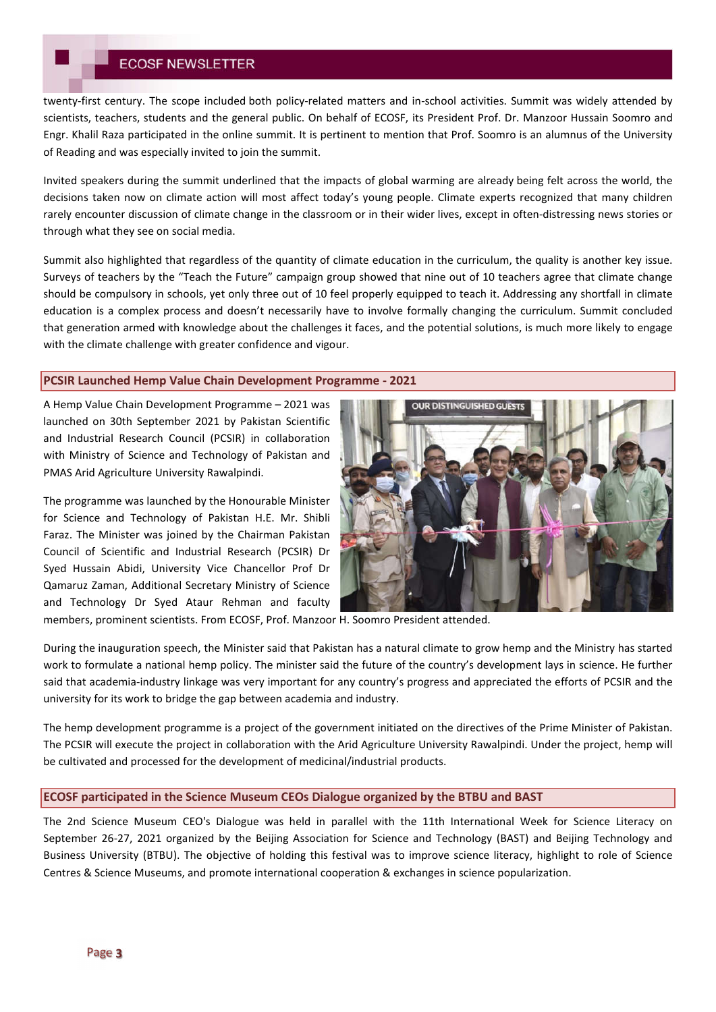# **ECOSF NEWSLETTER**

twenty-first century. The scope included both policy-related matters and in-school activities. Summit was widely attended by scientists, teachers, students and the general public. On behalf of ECOSF, its President Prof. Dr. Manzoor Hussain Soomro and Engr. Khalil Raza participated in the online summit. It is pertinent to mention that Prof. Soomro is an alumnus of the University of Reading and was especially invited to join the summit.

Invited speakers during the summit underlined that the impacts of global warming are already being felt across the world, the decisions taken now on climate action will most affect today's young people. Climate experts recognized that many children rarely encounter discussion of climate change in the classroom or in their wider lives, except in often-distressing news stories or through what they see on social media.

Summit also highlighted that regardless of the quantity of climate education in the curriculum, the quality is another key issue. Surveys of teachers by the "Teach the Future" campaign group showed that nine out of 10 teachers agree that climate change should be compulsory in schools, yet only three out of 10 feel properly equipped to teach it. Addressing any shortfall in climate education is a complex process and doesn't necessarily have to involve formally changing the curriculum. Summit concluded that generation armed with knowledge about the challenges it faces, and the potential solutions, is much more likely to engage with the climate challenge with greater confidence and vigour.

### **PCSIR Launched Hemp Value Chain Development Programme - 2021**

A Hemp Value Chain Development Programme – 2021 was launched on 30th September 2021 by Pakistan Scientific and Industrial Research Council (PCSIR) in collaboration with Ministry of Science and Technology of Pakistan and PMAS Arid Agriculture University Rawalpindi.

The programme was launched by the Honourable Minister for Science and Technology of Pakistan H.E. Mr. Shibli Faraz. The Minister was joined by the Chairman Pakistan Council of Scientific and Industrial Research (PCSIR) Dr Syed Hussain Abidi, University Vice Chancellor Prof Dr Qamaruz Zaman, Additional Secretary Ministry of Science and Technology Dr Syed Ataur Rehman and faculty



members, prominent scientists. From ECOSF, Prof. Manzoor H. Soomro President attended.

During the inauguration speech, the Minister said that Pakistan has a natural climate to grow hemp and the Ministry has started work to formulate a national hemp policy. The minister said the future of the country's development lays in science. He further said that academia-industry linkage was very important for any country's progress and appreciated the efforts of PCSIR and the university for its work to bridge the gap between academia and industry.

The hemp development programme is a project of the government initiated on the directives of the Prime Minister of Pakistan. The PCSIR will execute the project in collaboration with the Arid Agriculture University Rawalpindi. Under the project, hemp will be cultivated and processed for the development of medicinal/industrial products.

### **ECOSF participated in the Science Museum CEOs Dialogue organized by the BTBU and BAST**

The 2nd Science Museum CEO's Dialogue was held in parallel with the 11th International Week for Science Literacy on September 26-27, 2021 organized by the Beijing Association for Science and Technology (BAST) and Beijing Technology and Business University (BTBU). The objective of holding this festival was to improve science literacy, highlight to role of Science Centres & Science Museums, and promote international cooperation & exchanges in science popularization.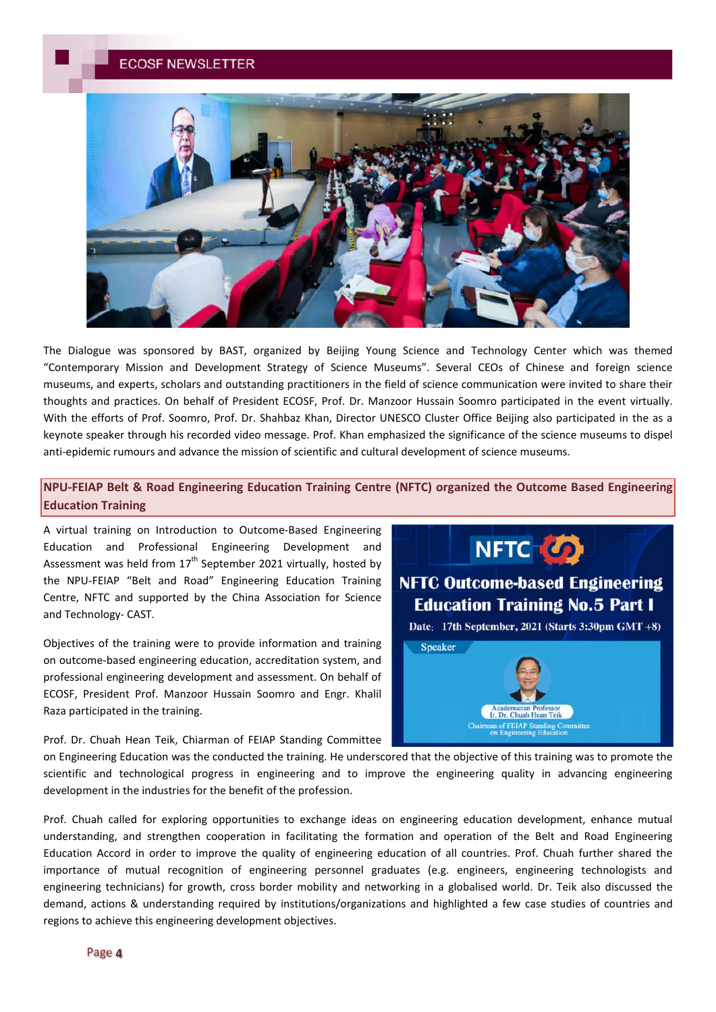

The Dialogue was sponsored by BAST, organized by Beijing Young Science and Technology Center which was themed "Contemporary Mission and Development Strategy of Science Museums". Several CEOs of Chinese and foreign science museums, and experts, scholars and outstanding practitioners in the field of science communication were invited to share their thoughts and practices. On behalf of President ECOSF, Prof. Dr. Manzoor Hussain Soomro participated in the event virtually. With the efforts of Prof. Soomro, Prof. Dr. Shahbaz Khan, Director UNESCO Cluster Office Beijing also participated in the as a keynote speaker through his recorded video message. Prof. Khan emphasized the significance of the science museums to dispel anti-epidemic rumours and advance the mission of scientific and cultural development of science museums.

## **NPU-FEIAP Belt & Road Engineering Education Training Centre (NFTC) organized the Outcome Based Engineering Education Training**

A virtual training on Introduction to Outcome-Based Engineering Education and Professional Engineering Development and Assessment was held from  $17<sup>th</sup>$  September 2021 virtually, hosted by the NPU-FEIAP "Belt and Road" Engineering Education Training Centre, NFTC and supported by the China Association for Science and Technology- CAST.

Objectives of the training were to provide information and training on outcome-based engineering education, accreditation system, and professional engineering development and assessment. On behalf of ECOSF, President Prof. Manzoor Hussain Soomro and Engr. Khalil Raza participated in the training.

Prof. Dr. Chuah Hean Teik, Chiarman of FEIAP Standing Committee





on Engineering Education was the conducted the training. He underscored that the objective of this training was to promote the scientific and technological progress in engineering and to improve the engineering quality in advancing engineering development in the industries for the benefit of the profession.

Prof. Chuah called for exploring opportunities to exchange ideas on engineering education development, enhance mutual understanding, and strengthen cooperation in facilitating the formation and operation of the Belt and Road Engineering Education Accord in order to improve the quality of engineering education of all countries. Prof. Chuah further shared the importance of mutual recognition of engineering personnel graduates (e.g. engineers, engineering technologists and engineering technicians) for growth, cross border mobility and networking in a globalised world. Dr. Teik also discussed the demand, actions & understanding required by institutions/organizations and highlighted a few case studies of countries and regions to achieve this engineering development objectives.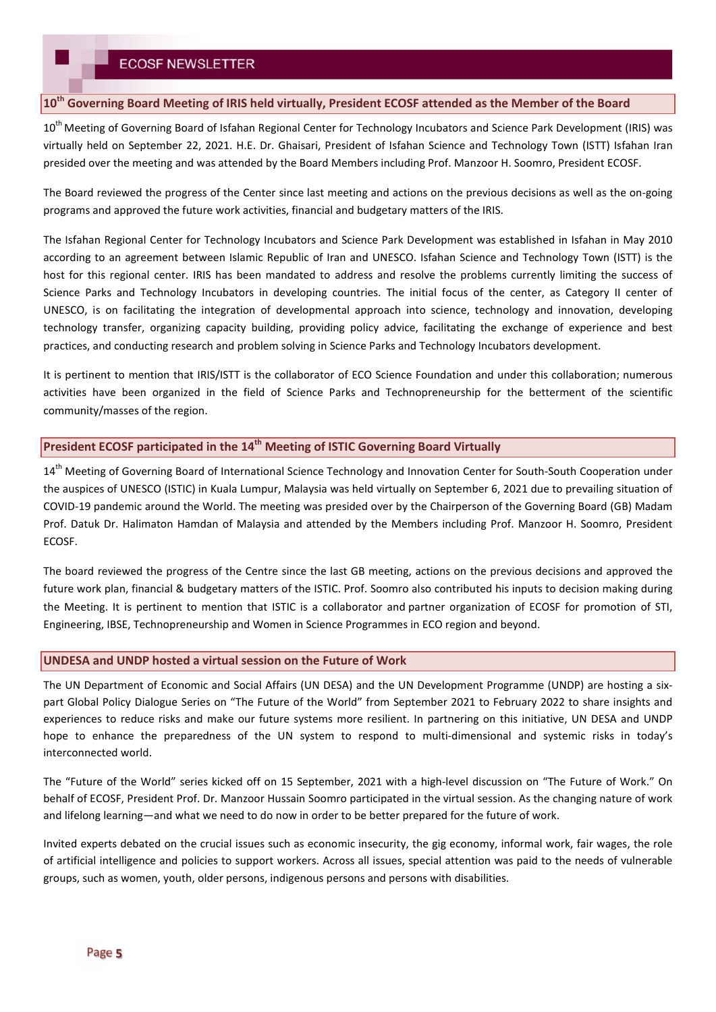### **10th Governing Board Meeting of IRIS held virtually, President ECOSF attended as the Member of the Board**

10<sup>th</sup> Meeting of Governing Board of Isfahan Regional Center for Technology Incubators and Science Park Development (IRIS) was virtually held on September 22, 2021. H.E. Dr. Ghaisari, President of Isfahan Science and Technology Town (ISTT) Isfahan Iran presided over the meeting and was attended by the Board Members including Prof. Manzoor H. Soomro, President ECOSF.

The Board reviewed the progress of the Center since last meeting and actions on the previous decisions as well as the on-going programs and approved the future work activities, financial and budgetary matters of the IRIS.

The Isfahan Regional Center for Technology Incubators and Science Park Development was established in Isfahan in May 2010 according to an agreement between Islamic Republic of Iran and UNESCO. Isfahan Science and Technology Town (ISTT) is the host for this regional center. IRIS has been mandated to address and resolve the problems currently limiting the success of Science Parks and Technology Incubators in developing countries. The initial focus of the center, as Category II center of UNESCO, is on facilitating the integration of developmental approach into science, technology and innovation, developing technology transfer, organizing capacity building, providing policy advice, facilitating the exchange of experience and best practices, and conducting research and problem solving in Science Parks and Technology Incubators development.

It is pertinent to mention that IRIS/ISTT is the collaborator of ECO Science Foundation and under this collaboration; numerous activities have been organized in the field of Science Parks and Technopreneurship for the betterment of the scientific community/masses of the region.

### **President ECOSF participated in the 14th Meeting of ISTIC Governing Board Virtually**

14<sup>th</sup> Meeting of Governing Board of International Science Technology and Innovation Center for South-South Cooperation under the auspices of UNESCO (ISTIC) in Kuala Lumpur, Malaysia was held virtually on September 6, 2021 due to prevailing situation of COVID-19 pandemic around the World. The meeting was presided over by the Chairperson of the Governing Board (GB) Madam Prof. Datuk Dr. Halimaton Hamdan of Malaysia and attended by the Members including Prof. Manzoor H. Soomro, President ECOSF.

The board reviewed the progress of the Centre since the last GB meeting, actions on the previous decisions and approved the future work plan, financial & budgetary matters of the ISTIC. Prof. Soomro also contributed his inputs to decision making during the Meeting. It is pertinent to mention that ISTIC is a collaborator and partner organization of ECOSF for promotion of STI, Engineering, IBSE, Technopreneurship and Women in Science Programmes in ECO region and beyond.

#### **UNDESA and UNDP hosted a virtual session on the Future of Work**

The UN Department of Economic and Social Affairs (UN DESA) and the UN Development Programme (UNDP) are hosting a sixpart Global Policy Dialogue Series on "The Future of the World" from September 2021 to February 2022 to share insights and experiences to reduce risks and make our future systems more resilient. In partnering on this initiative, UN DESA and UNDP hope to enhance the preparedness of the UN system to respond to multi-dimensional and systemic risks in today's interconnected world.

The "Future of the World" series kicked off on 15 September, 2021 with a high-level discussion on "The Future of Work." On behalf of ECOSF, President Prof. Dr. Manzoor Hussain Soomro participated in the virtual session. As the changing nature of work and lifelong learning—and what we need to do now in order to be better prepared for the future of work.

Invited experts debated on the crucial issues such as economic insecurity, the gig economy, informal work, fair wages, the role of artificial intelligence and policies to support workers. Across all issues, special attention was paid to the needs of vulnerable groups, such as women, youth, older persons, indigenous persons and persons with disabilities.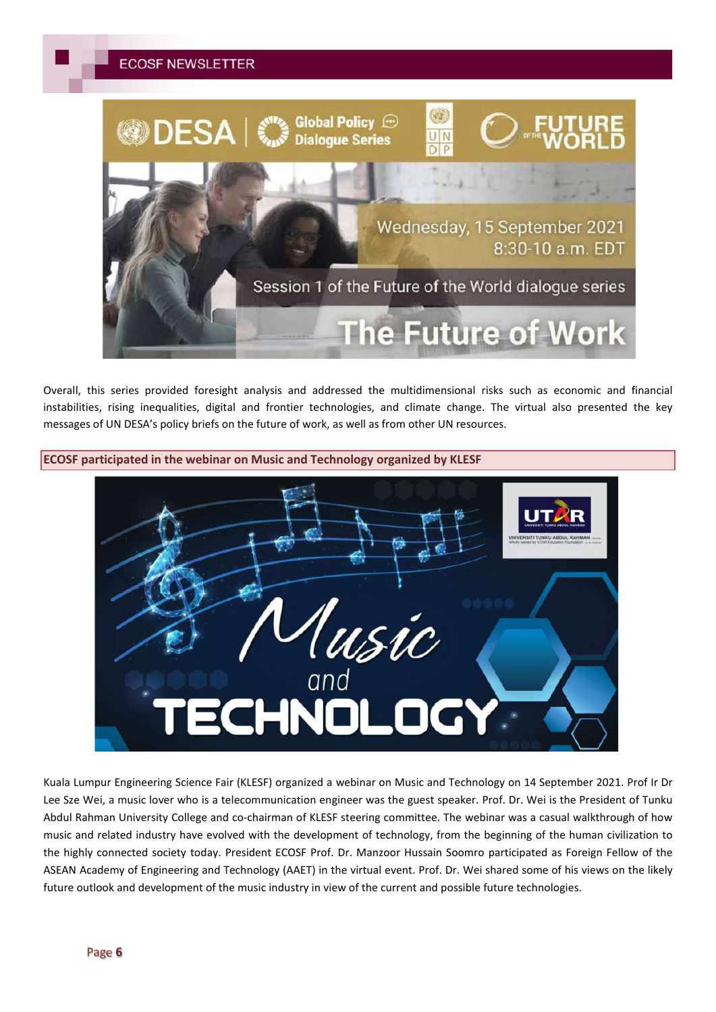

Overall, this series provided foresight analysis and addressed the multidimensional risks such as economic and financial instabilities, rising inequalities, digital and frontier technologies, and climate change. The virtual also presented the key messages of UN DESA's policy briefs on the future of work, as well as from other UN resources.



Kuala Lumpur Engineering Science Fair (KLESF) organized a webinar on Music and Technology on 14 September 2021. Prof Ir Dr Lee Sze Wei, a music lover who is a telecommunication engineer was the guest speaker. Prof. Dr. Wei is the President of Tunku Abdul Rahman University College and co-chairman of KLESF steering committee. The webinar was a casual walkthrough of how music and related industry have evolved with the development of technology, from the beginning of the human civilization to the highly connected society today. President ECOSF Prof. Dr. Manzoor Hussain Soomro participated as Foreign Fellow of the ASEAN Academy of Engineering and Technology (AAET) in the virtual event. Prof. Dr. Wei shared some of his views on the likely future outlook and development of the music industry in view of the current and possible future technologies.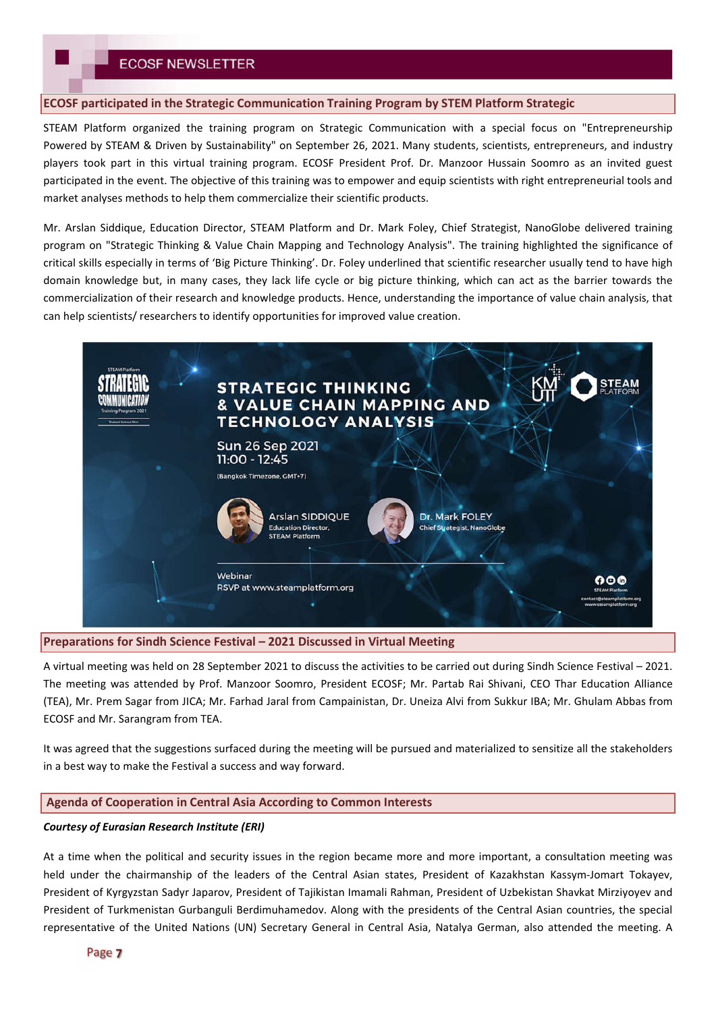## **ECOSF NEWSLETTER**

### **ECOSF participated in the Strategic Communication Training Program by STEM Platform Strategic**

STEAM Platform organized the training program on Strategic Communication with a special focus on "Entrepreneurship Powered by STEAM & Driven by Sustainability" on September 26, 2021. Many students, scientists, entrepreneurs, and industry players took part in this virtual training program. ECOSF President Prof. Dr. Manzoor Hussain Soomro as an invited guest participated in the event. The objective of this training was to empower and equip scientists with right entrepreneurial tools and market analyses methods to help them commercialize their scientific products.

Mr. Arslan Siddique, Education Director, STEAM Platform and Dr. Mark Foley, Chief Strategist, NanoGlobe delivered training program on "Strategic Thinking & Value Chain Mapping and Technology Analysis". The training highlighted the significance of critical skills especially in terms of 'Big Picture Thinking'. Dr. Foley underlined that scientific researcher usually tend to have high domain knowledge but, in many cases, they lack life cycle or big picture thinking, which can act as the barrier towards the commercialization of their research and knowledge products. Hence, understanding the importance of value chain analysis, that can help scientists/ researchers to identify opportunities for improved value creation.



#### **Preparations for Sindh Science Festival – 2021 Discussed in Virtual Meeting**

A virtual meeting was held on 28 September 2021 to discuss the activities to be carried out during Sindh Science Festival – 2021. The meeting was attended by Prof. Manzoor Soomro, President ECOSF; Mr. Partab Rai Shivani, CEO Thar Education Alliance (TEA), Mr. Prem Sagar from JICA; Mr. Farhad Jaral from Campainistan, Dr. Uneiza Alvi from Sukkur IBA; Mr. Ghulam Abbas from ECOSF and Mr. Sarangram from TEA.

It was agreed that the suggestions surfaced during the meeting will be pursued and materialized to sensitize all the stakeholders in a best way to make the Festival a success and way forward.

### **Agenda of Cooperation in Central Asia According to Common Interests**

#### *Courtesy of Eurasian Research Institute (ERI)*

At a time when the political and security issues in the region became more and more important, a consultation meeting was held under the chairmanship of the leaders of the Central Asian states, President of Kazakhstan Kassym-Jomart Tokayev, President of Kyrgyzstan Sadyr Japarov, President of Tajikistan Imamali Rahman, President of Uzbekistan Shavkat Mirziyoyev and President of Turkmenistan Gurbanguli Berdimuhamedov. Along with the presidents of the Central Asian countries, the special representative of the United Nations (UN) Secretary General in Central Asia, Natalya German, also attended the meeting. A